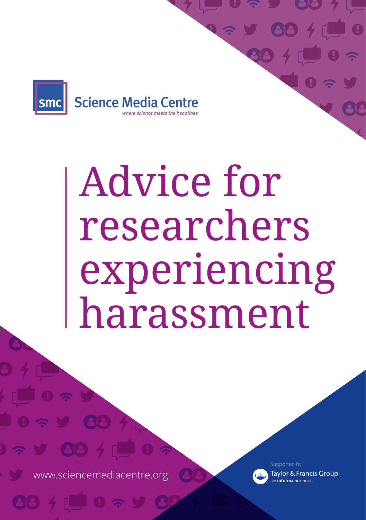

## Advice for researchers experiencing harassment

www.sciencemediacentre.org

Supported by

Taylor & Francis Group an **informa** business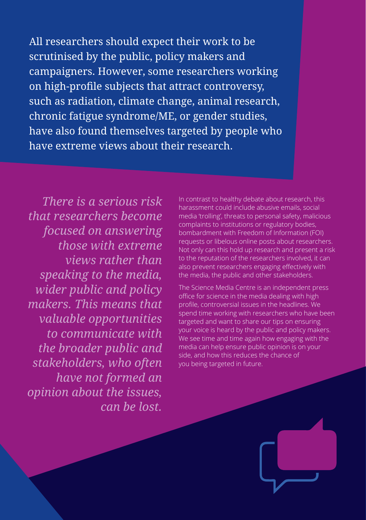All researchers should expect their work to be scrutinised by the public, policy makers and campaigners. However, some researchers working on high-profile subjects that attract controversy, such as radiation, climate change, animal research, chronic fatigue syndrome/ME, or gender studies, have also found themselves targeted by people who have extreme views about their research.

*There is a serious risk that researchers become focused on answering those with extreme views rather than speaking to the media, wider public and policy makers. This means that valuable opportunities to communicate with the broader public and stakeholders, who often have not formed an opinion about the issues, can be lost.*

In contrast to healthy debate about research, this harassment could include abusive emails, social media 'trolling', threats to personal safety, malicious complaints to institutions or regulatory bodies, bombardment with Freedom of Information (FOI) requests or libelous online posts about researchers. Not only can this hold up research and present a risk to the reputation of the researchers involved, it can also prevent researchers engaging effectively with the media, the public and other stakeholders.

The Science Media Centre is an independent press office for science in the media dealing with high profile, controversial issues in the headlines. We spend time working with researchers who have been targeted and want to share our tips on ensuring your voice is heard by the public and policy makers. We see time and time again how engaging with the media can help ensure public opinion is on your side, and how this reduces the chance of you being targeted in future.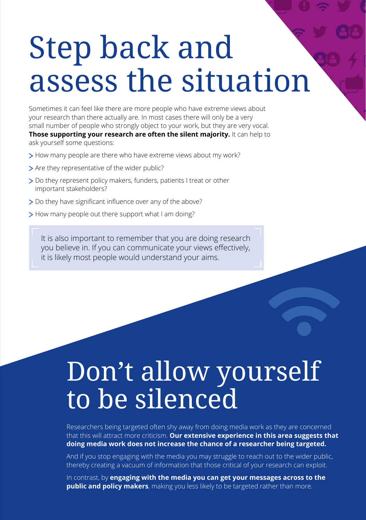### Step back and assess the situation

Sometimes it can feel like there are more people who have extreme views about your research than there actually are. In most cases there will only be a very small number of people who strongly object to your work, but they are very vocal. **Those supporting your research are often the silent majority.** It can help to

ask yourself some questions:

- > How many people are there who have extreme views about my work?
- > Are they representative of the wider public?
- Do they represent policy makers, funders, patients I treat or other important stakeholders?
- Do they have significant influence over any of the above?
- > How many people out there support what I am doing?

It is also important to remember that you are doing research you believe in. If you can communicate your views effectively, it is likely most people would understand your aims.

### Don't allow yourself to be silenced

Researchers being targeted often shy away from doing media work as they are concerned that this will attract more criticism. **Our extensive experience in this area suggests that doing media work does not increase the chance of a researcher being targeted.**

And if you stop engaging with the media you may struggle to reach out to the wider public, thereby creating a vacuum of information that those critical of your research can exploit.

In contrast, by **engaging with the media you can get your messages across to the public and policy makers**, making you less likely to be targeted rather than more.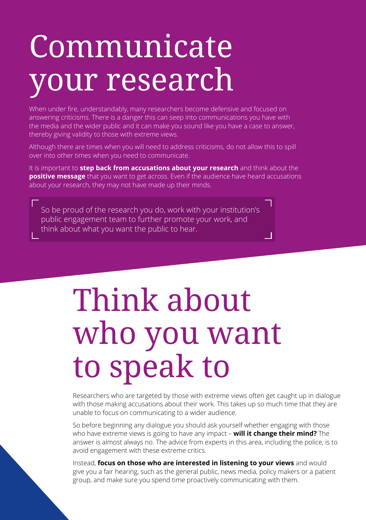### Communicate your research

When under fire, understandably, many researchers become defensive and focused on answering criticisms. There is a danger this can seep into communications you have with the media and the wider public and it can make you sound like you have a case to answer, thereby giving validity to those with extreme views.

Although there are times when you will need to address criticisms, do not allow this to spill over into other times when you need to communicate.

It is important to **step back from accusations about your research** and think about the **positive message** that you want to get across. Even if the audience have heard accusations about your research, they may not have made up their minds.

So be proud of the research you do, work with your institution's public engagement team to further promote your work, and think about what you want the public to hear.

### Think about who you want to speak to

Researchers who are targeted by those with extreme views often get caught up in dialogue with those making accusations about their work. This takes up so much time that they are unable to focus on communicating to a wider audience.

-1

So before beginning any dialogue you should ask yourself whether engaging with those who have extreme views is going to have any impact – **will it change their mind?** The answer is almost always no. The advice from experts in this area, including the police, is to avoid engagement with these extreme critics.

Instead, **focus on those who are interested in listening to your views** and would give you a fair hearing, such as the general public, news media, policy makers or a patient group, and make sure you spend time proactively communicating with them.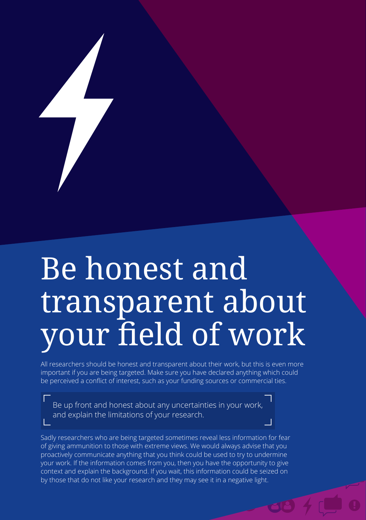# Be honest and transparent about your field of work

All researchers should be honest and transparent about their work, but this is even more important if you are being targeted. Make sure you have declared anything which could be perceived a conflict of interest, such as your funding sources or commercial ties.

Be up front and honest about any uncertainties in your work, and explain the limitations of your research.

Sadly researchers who are being targeted sometimes reveal less information for fear of giving ammunition to those with extreme views. We would always advise that you proactively communicate anything that you think could be used to try to undermine your work. If the information comes from you, then you have the opportunity to give context and explain the background. If you wait, this information could be seized on by those that do not like your research and they may see it in a negative light.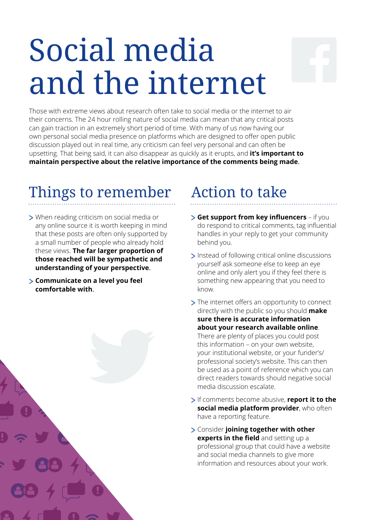### Social media and the internet

Those with extreme views about research often take to social media or the internet to air their concerns. The 24 hour rolling nature of social media can mean that any critical posts can gain traction in an extremely short period of time. With many of us now having our own personal social media presence on platforms which are designed to offer open public discussion played out in real time, any criticism can feel very personal and can often be upsetting. That being said, it can also disappear as quickly as it erupts, and **it's important to maintain perspective about the relative importance of the comments being made**.

### Things to remember

- When reading criticism on social media or any online source it is worth keeping in mind that these posts are often only supported by a small number of people who already hold these views. **The far larger proportion of those reached will be sympathetic and understanding of your perspective**.
- **Communicate on a level you feel comfortable with**.



### Action to take

- **Get support from key influencers**  if you do respond to critical comments, tag influential handles in your reply to get your community behind you.
- Instead of following critical online discussions yourself ask someone else to keep an eye online and only alert you if they feel there is something new appearing that you need to know.
- > The internet offers an opportunity to connect directly with the public so you should **make sure there is accurate information about your research available online**. There are plenty of places you could post this information – on your own website, your institutional website, or your funder's/ professional society's website. This can then be used as a point of reference which you can direct readers towards should negative social media discussion escalate.
- If comments become abusive, **report it to the social media platform provider**, who often have a reporting feature.
- Consider **joining together with other experts in the field** and setting up a professional group that could have a website and social media channels to give more information and resources about your work.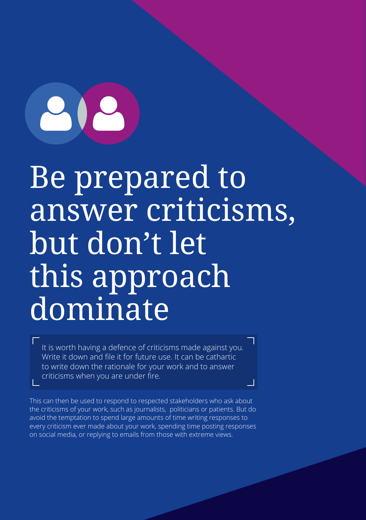Be prepared to answer criticisms, but don't let this approach dominate

It is worth having a defence of criticisms made against you. Write it down and file it for future use. It can be cathartic to write down the rationale for your work and to answer criticisms when you are under fire.

This can then be used to respond to respected stakeholders who ask about the criticisms of your work, such as journalists, politicians or patients. But do avoid the temptation to spend large amounts of time writing responses to every criticism ever made about your work, spending time posting responses on social media, or replying to emails from those with extreme views.